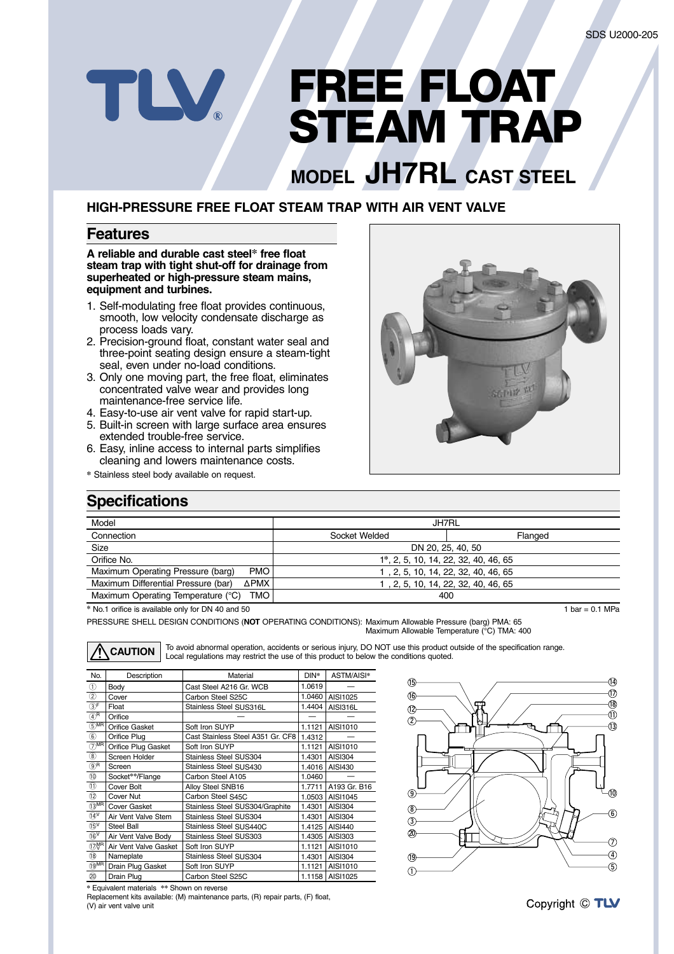# **FREE FLOAT STEAM TRAP**

# **MODEL JH7RL CAST STEEL**

### **HIGH-PRESSURE FREE FLOAT STEAM TRAP WITH AIR VENT VALVE**

#### **Features**

TLV

**A reliable and durable cast steel\* free float steam trap with tight shut-off for drainage from superheated or high-pressure steam mains, equipment and turbines.**

- 1. Self-modulating free float provides continuous, smooth, low velocity condensate discharge as process loads vary.
- 2. Precision-ground float, constant water seal and three-point seating design ensure a steam-tight seal, even under no-load conditions.
- 3. Only one moving part, the free float, eliminates concentrated valve wear and provides long maintenance-free service life.
- 4. Easy-to-use air vent valve for rapid start-up.
- 5. Built-in screen with large surface area ensures extended trouble-free service.
- 6. Easy, inline access to internal parts simplifies cleaning and lowers maintenance costs.
- **\*** Stainless steel body available on request.



# **Specifications**

| Model                                            | JH7RL                                |         |  |  |  |
|--------------------------------------------------|--------------------------------------|---------|--|--|--|
| Connection                                       | Socket Welded                        | Flanged |  |  |  |
| Size                                             | DN 20, 25, 40, 50                    |         |  |  |  |
| Orifice No.                                      | 1*, 2, 5, 10, 14, 22, 32, 40, 46, 65 |         |  |  |  |
| Maximum Operating Pressure (barg)<br><b>PMO</b>  | 1, 2, 5, 10, 14, 22, 32, 40, 46, 65  |         |  |  |  |
| Maximum Differential Pressure (bar)<br>ΔΡΜΧ      | 1, 2, 5, 10, 14, 22, 32, 40, 46, 65  |         |  |  |  |
| Maximum Operating Temperature (°C)<br><b>TMO</b> | 400                                  |         |  |  |  |

**\*** No.1 orifice is available only for DN 40 and 50

PRESSURE SHELL DESIGN CONDITIONS (**NOT** OPERATING CONDITIONS): Maximum Allowable Pressure (barg) PMA: 65 Maximum Allowable Temperature (°C) TMA: 400

| No.                                    | Description           | Material                          | $DIN^*$ | ASTM/AISI*      |
|----------------------------------------|-----------------------|-----------------------------------|---------|-----------------|
| ⋒                                      | Body                  | Cast Steel A216 Gr. WCB           | 1.0619  |                 |
| $\circled{2}$                          | Cover                 | Carbon Steel S25C                 | 1.0460  | AISI1025        |
| $(3)$ F                                | Float                 | Stainless Steel SUS316L           | 1.4404  | <b>AISI316L</b> |
| $\mathfrak{A}$ <sup>R</sup>            | Orifice               |                                   |         |                 |
| $5$ MR                                 | Orifice Gasket        | Soft Iron SUYP                    | 1.1121  | AISI1010        |
| $\circledast$                          | Orifice Plug          | Cast Stainless Steel A351 Gr. CF8 | 1.4312  |                 |
| $(7)$ MR                               | Orifice Plug Gasket   | Soft Iron SUYP                    | 1.1121  | AISI1010        |
| $\circledR$                            | Screen Holder         | Stainless Steel SUS304            | 1.4301  | <b>AISI304</b>  |
| $\circledcirc$ R                       | Screen                | Stainless Steel SUS430            | 1.4016  | AISI430         |
| (1)                                    | Socket**/Flange       | Carbon Steel A105                 | 1.0460  |                 |
| $\textcircled{\scriptsize{1}}$         | Cover Bolt            | Alloy Steel SNB16                 | 1.7711  | A193 Gr. B16    |
| (12)                                   | Cover Nut             | Carbon Steel S45C                 | 1.0503  | AISI1045        |
| $\overline{13}^{\overline{\text{MR}}}$ | Cover Gasket          | Stainless Steel SUS304/Graphite   | 1.4301  | <b>AISI304</b>  |
| $\widehat{14}^{\mathsf{V}}$            | Air Vent Valve Stem   | <b>Stainless Steel SUS304</b>     | 1.4301  | <b>AISI304</b>  |
| $(15)^{V}$                             | Steel Ball            | Stainless Steel SUS440C           | 1.4125  | <b>AISI440</b>  |
| $(\widehat{16})^V$                     | Air Vent Valve Body   | Stainless Steel SUS303            | 1.4305  | AISI303         |
| 17 <sub>V</sub> <sub>R</sub>           | Air Vent Valve Gasket | Soft Iron SUYP                    | 1.1121  | AISI1010        |
| 18)                                    | Nameplate             | Stainless Steel SUS304            | 1.4301  | <b>AISI304</b>  |
| $\overline{19}$ MR                     | Drain Plug Gasket     | Soft Iron SUYP                    | 1.1121  | AISI1010        |
| $\circledcirc$                         | Drain Plug            | Carbon Steel S25C                 |         | 1.1158 AISI1025 |

**CAUTION** To avoid abnormal operation, accidents or serious injury, DO NOT use this product outside of the specification range.<br> **CAUTION** Local regulations may restrict the use of this product to below the conditions quot

| * Equivalent materials ** Shown on reverse |
|--------------------------------------------|

**\*** Equivalent materials **\*\*** Shown on reverse Replacement kits available: (M) maintenance parts, (R) repair parts, (F) float, (V) air vent valve unit



1 bar =  $0.1$  MPa